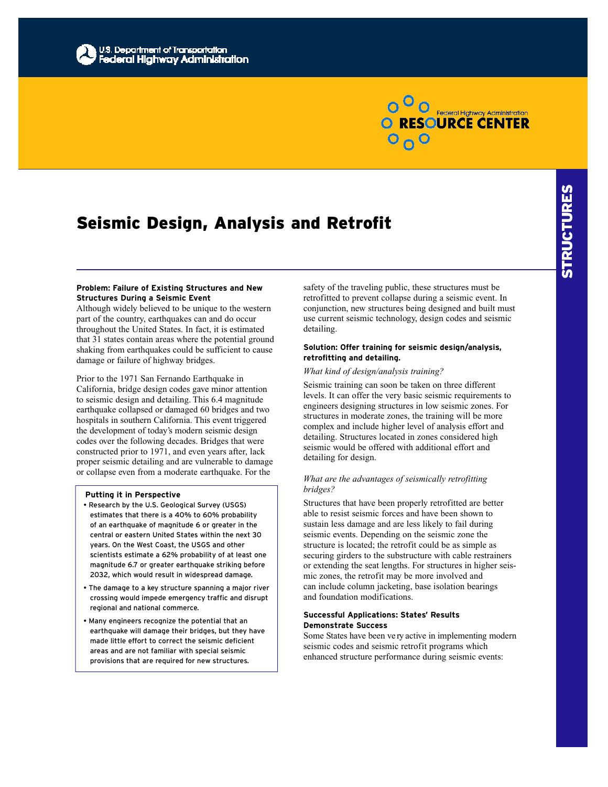

# Seismic Design, Analysis and Retrofit

## **Problem: Failure of Existing Structures and New Structures During a Seismic Event**

Although widely believed to be unique to the western part of the country, earthquakes can and do occur throughout the United States. In fact, it is estimated that 31 states contain areas where the potential ground shaking from earthquakes could be sufficient to cause damage or failure of highway bridges.

Prior to the 1971 San Fernando Earthquake in California, bridge design codes gave minor attention to seismic design and detailing. This 6.4 magnitude earthquake collapsed or damaged 60 bridges and two hospitals in southern California. This event triggered the development of today's modern seismic design codes over the following decades. Bridges that were constructed prior to 1971, and even years after, lack proper seismic detailing and are vulnerable to damage or collapse even from a moderate earthquake. For the

#### **Putting it in Perspective**

- Research by the U.S. Geological Survey (USGS) estimates that there is a 40% to 60% probability of an earthquake of magnitude 6 or greater in the central or eastern United States within the next 30 years. On the West Coast, the USGS and other scientists estimate a 62% probability of at least one magnitude 6.7 or greater earthquake striking before 2032, which would result in widespread damage.
- The damage to a key structure spanning a major river crossing would impede emergency traffic and disrupt regional and national commerce.
- Many engineers recognize the potential that an earthquake will damage their bridges, but they have made little effort to correct the seismic deficient areas and are not familiar with special seismic provisions that are required for new structures.

safety of the traveling public, these structures must be retrofitted to prevent collapse during a seismic event. In conjunction, new structures being designed and built must use current seismic technology, design codes and seismic detailing.

## **Solution: Offer training for seismic design/analysis, retrofitting and detailing.**

#### *What kind of design/analysis training?*

Seismic training can soon be taken on three different levels. It can offer the very basic seismic requirements to engineers designing structures in low seismic zones. For structures in moderate zones, the training will be more complex and include higher level of analysis effort and detailing. Structures located in zones considered high seismic would be offered with additional effort and detailing for design.

### *What are the advantages of seismically retrofitting bridges?*

Structures that have been properly retrofitted are better able to resist seismic forces and have been shown to sustain less damage and are less likely to fail during seismic events. Depending on the seismic zone the structure is located; the retrofit could be as simple as securing girders to the substructure with cable restrainers or extending the seat lengths. For structures in higher seismic zones, the retrofit may be more involved and can include column jacketing, base isolation bearings and foundation modifications.

### **Successful Applications: States' Results Demonstrate Success**

Some States have been ve ry active in implementing modern seismic codes and seismic retrofit programs which enhanced structure performance during seismic events: